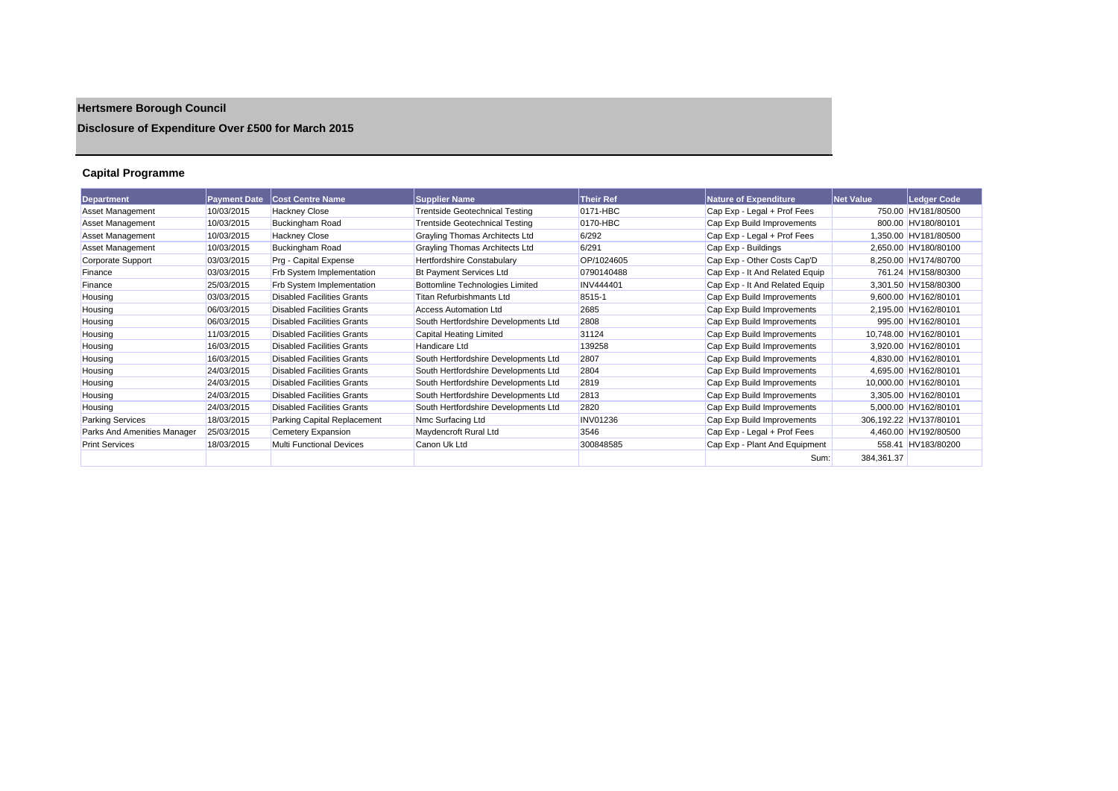# **Hertsmere Borough Council**

## **Disclosure of Expenditure Over £500 for March 2015**

## **Capital Programme**

| <b>Department</b>           | <b>Payment Date</b> | <b>Cost Centre Name</b>           | <b>Supplier Name</b>                  | <b>Their Ref</b> | Nature of Expenditure          | <b>Net Value</b> | <b>Ledger Code</b>     |
|-----------------------------|---------------------|-----------------------------------|---------------------------------------|------------------|--------------------------------|------------------|------------------------|
| Asset Management            | 10/03/2015          | <b>Hackney Close</b>              | <b>Trentside Geotechnical Testing</b> | 0171-HBC         | Cap Exp - Legal + Prof Fees    |                  | 750.00 HV181/80500     |
| Asset Management            | 10/03/2015          | <b>Buckingham Road</b>            | <b>Trentside Geotechnical Testing</b> | 0170-HBC         | Cap Exp Build Improvements     |                  | 800.00 HV180/80101     |
| Asset Management            | 10/03/2015          | <b>Hackney Close</b>              | Grayling Thomas Architects Ltd        | 6/292            | Cap Exp - Legal + Prof Fees    |                  | 1,350.00 HV181/80500   |
| Asset Management            | 10/03/2015          | <b>Buckingham Road</b>            | <b>Grayling Thomas Architects Ltd</b> | 6/291            | Cap Exp - Buildings            |                  | 2,650.00 HV180/80100   |
| <b>Corporate Support</b>    | 03/03/2015          | Prg - Capital Expense             | <b>Hertfordshire Constabulary</b>     | OP/1024605       | Cap Exp - Other Costs Cap'D    |                  | 8,250.00 HV174/80700   |
| Finance                     | 03/03/2015          | <b>Frb System Implementation</b>  | <b>Bt Payment Services Ltd</b>        | 0790140488       | Cap Exp - It And Related Equip |                  | 761.24 HV158/80300     |
| Finance                     | 25/03/2015          | <b>Frb System Implementation</b>  | Bottomline Technologies Limited       | <b>INV444401</b> | Cap Exp - It And Related Equip |                  | 3,301.50 HV158/80300   |
| Housing                     | 03/03/2015          | <b>Disabled Facilities Grants</b> | Titan Refurbishmants Ltd              | 8515-1           | Cap Exp Build Improvements     |                  | 9,600.00 HV162/80101   |
| Housing                     | 06/03/2015          | <b>Disabled Facilities Grants</b> | <b>Access Automation Ltd</b>          | 2685             | Cap Exp Build Improvements     |                  | 2,195.00 HV162/80101   |
| Housing                     | 06/03/2015          | <b>Disabled Facilities Grants</b> | South Hertfordshire Developments Ltd  | 2808             | Cap Exp Build Improvements     |                  | 995.00 HV162/80101     |
| Housing                     | 11/03/2015          | <b>Disabled Facilities Grants</b> | Capital Heating Limited               | 31124            | Cap Exp Build Improvements     |                  | 10,748.00 HV162/80101  |
| Housing                     | 16/03/2015          | <b>Disabled Facilities Grants</b> | Handicare Ltd                         | 139258           | Cap Exp Build Improvements     |                  | 3,920.00 HV162/80101   |
| Housing                     | 16/03/2015          | <b>Disabled Facilities Grants</b> | South Hertfordshire Developments Ltd  | 2807             | Cap Exp Build Improvements     |                  | 4,830.00 HV162/80101   |
| Housing                     | 24/03/2015          | <b>Disabled Facilities Grants</b> | South Hertfordshire Developments Ltd  | 2804             | Cap Exp Build Improvements     |                  | 4,695.00 HV162/80101   |
| Housing                     | 24/03/2015          | <b>Disabled Facilities Grants</b> | South Hertfordshire Developments Ltd  | 2819             | Cap Exp Build Improvements     |                  | 10,000.00 HV162/80101  |
| Housing                     | 24/03/2015          | <b>Disabled Facilities Grants</b> | South Hertfordshire Developments Ltd  | 2813             | Cap Exp Build Improvements     |                  | 3,305.00 HV162/80101   |
| Housing                     | 24/03/2015          | <b>Disabled Facilities Grants</b> | South Hertfordshire Developments Ltd  | 2820             | Cap Exp Build Improvements     |                  | 5,000.00 HV162/80101   |
| <b>Parking Services</b>     | 18/03/2015          | Parking Capital Replacement       | Nmc Surfacing Ltd                     | <b>INV01236</b>  | Cap Exp Build Improvements     |                  | 306.192.22 HV137/80101 |
| Parks And Amenities Manager | 25/03/2015          | Cemetery Expansion                | Maydencroft Rural Ltd                 | 3546             | Cap Exp - Legal + Prof Fees    |                  | 4,460.00 HV192/80500   |
| <b>Print Services</b>       | 18/03/2015          | <b>Multi Functional Devices</b>   | Canon Uk Ltd                          | 300848585        | Cap Exp - Plant And Equipment  |                  | 558.41 HV183/80200     |
|                             |                     |                                   |                                       |                  | Sum:                           | 384,361.37       |                        |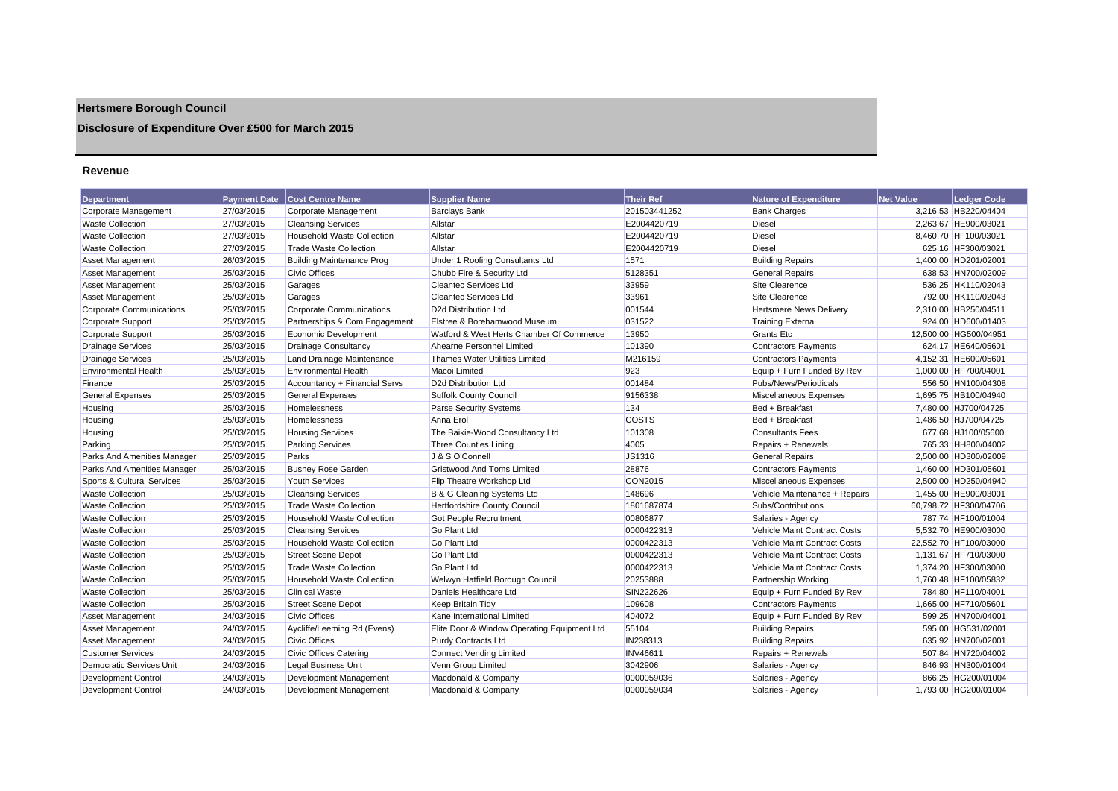## **Hertsmere Borough Council**

## **Disclosure of Expenditure Over £500 for March 2015**

#### **Revenue**

| <b>Department</b>               | <b>Payment Date</b> | <b>Cost Centre Name</b>           | <b>Supplier Name</b>                        | Their Ref       | <b>Nature of Expenditure</b>        | <b>Net Value</b> | Ledger Code           |
|---------------------------------|---------------------|-----------------------------------|---------------------------------------------|-----------------|-------------------------------------|------------------|-----------------------|
| Corporate Management            | 27/03/2015          | Corporate Management              | <b>Barclays Bank</b>                        | 201503441252    | <b>Bank Charges</b>                 |                  | 3,216.53 HB220/04404  |
| <b>Waste Collection</b>         | 27/03/2015          | <b>Cleansing Services</b>         | Allstar                                     | E2004420719     | <b>Diesel</b>                       |                  | 2.263.67 HE900/03021  |
| <b>Waste Collection</b>         | 27/03/2015          | <b>Household Waste Collection</b> | Allstar                                     | E2004420719     | Diesel                              |                  | 8,460.70 HF100/03021  |
| <b>Waste Collection</b>         | 27/03/2015          | <b>Trade Waste Collection</b>     | Allstar                                     | E2004420719     | <b>Diesel</b>                       |                  | 625.16 HF300/03021    |
| Asset Management                | 26/03/2015          | <b>Building Maintenance Prog</b>  | Under 1 Roofing Consultants Ltd             | 1571            | <b>Building Repairs</b>             |                  | 1,400.00 HD201/02001  |
| Asset Management                | 25/03/2015          | <b>Civic Offices</b>              | Chubb Fire & Security Ltd                   | 5128351         | <b>General Repairs</b>              |                  | 638.53 HN700/02009    |
| Asset Management                | 25/03/2015          | Garages                           | <b>Cleantec Services Ltd</b>                | 33959           | Site Clearence                      |                  | 536.25 HK110/02043    |
| Asset Management                | 25/03/2015          | Garages                           | <b>Cleantec Services Ltd</b>                | 33961           | Site Clearence                      |                  | 792.00 HK110/02043    |
| <b>Corporate Communications</b> | 25/03/2015          | <b>Corporate Communications</b>   | D <sub>2d</sub> Distribution Ltd            | 001544          | <b>Hertsmere News Delivery</b>      |                  | 2.310.00 HB250/04511  |
| Corporate Support               | 25/03/2015          | Partnerships & Com Engagement     | Elstree & Borehamwood Museum                | 031522          | <b>Training External</b>            |                  | 924.00 HD600/01403    |
| Corporate Support               | 25/03/2015          | Economic Development              | Watford & West Herts Chamber Of Commerce    | 13950           | <b>Grants Etc.</b>                  |                  | 12,500.00 HG500/04951 |
| <b>Drainage Services</b>        | 25/03/2015          | Drainage Consultancy              | Ahearne Personnel Limited                   | 101390          | <b>Contractors Payments</b>         |                  | 624.17 HE640/05601    |
| <b>Drainage Services</b>        | 25/03/2015          | Land Drainage Maintenance         | Thames Water Utilities Limited              | M216159         | <b>Contractors Payments</b>         |                  | 4,152.31 HE600/05601  |
| <b>Environmental Health</b>     | 25/03/2015          | <b>Environmental Health</b>       | Macoi Limited                               | 923             | Equip + Furn Funded By Rev          |                  | 1,000.00 HF700/04001  |
| Finance                         | 25/03/2015          | Accountancy + Financial Servs     | D <sub>2d</sub> Distribution Ltd            | 001484          | Pubs/News/Periodicals               |                  | 556.50 HN100/04308    |
| <b>General Expenses</b>         | 25/03/2015          | <b>General Expenses</b>           | <b>Suffolk County Council</b>               | 9156338         | Miscellaneous Expenses              |                  | 1.695.75 HB100/04940  |
| Housing                         | 25/03/2015          | Homelessness                      | <b>Parse Security Systems</b>               | 134             | Bed + Breakfast                     |                  | 7,480.00 HJ700/04725  |
| Housing                         | 25/03/2015          | Homelessness                      | Anna Erol                                   | <b>COSTS</b>    | Bed + Breakfast                     |                  | 1,486.50 HJ700/04725  |
| Housing                         | 25/03/2015          | <b>Housing Services</b>           | The Baikie-Wood Consultancy Ltd             | 101308          | <b>Consultants Fees</b>             |                  | 677.68 HJ100/05600    |
| Parking                         | 25/03/2015          | <b>Parking Services</b>           | Three Counties Lining                       | 4005            | Repairs + Renewals                  |                  | 765.33 HH800/04002    |
| Parks And Amenities Manager     | 25/03/2015          | Parks                             | J & S O'Connell                             | JS1316          | <b>General Repairs</b>              |                  | 2,500.00 HD300/02009  |
| Parks And Amenities Manager     | 25/03/2015          | <b>Bushey Rose Garden</b>         | <b>Gristwood And Toms Limited</b>           | 28876           | <b>Contractors Payments</b>         |                  | 1,460.00 HD301/05601  |
| Sports & Cultural Services      | 25/03/2015          | <b>Youth Services</b>             | Flip Theatre Workshop Ltd                   | CON2015         | Miscellaneous Expenses              |                  | 2,500.00 HD250/04940  |
| <b>Waste Collection</b>         | 25/03/2015          | <b>Cleansing Services</b>         | B & G Cleaning Systems Ltd                  | 148696          | Vehicle Maintenance + Repairs       |                  | 1,455.00 HE900/03001  |
| <b>Waste Collection</b>         | 25/03/2015          | <b>Trade Waste Collection</b>     | <b>Hertfordshire County Council</b>         | 1801687874      | Subs/Contributions                  |                  | 60,798.72 HF300/04706 |
| <b>Waste Collection</b>         | 25/03/2015          | <b>Household Waste Collection</b> | Got People Recruitment                      | 00806877        | Salaries - Agency                   |                  | 787.74 HF100/01004    |
| <b>Waste Collection</b>         | 25/03/2015          | <b>Cleansing Services</b>         | <b>Go Plant Ltd</b>                         | 0000422313      | Vehicle Maint Contract Costs        |                  | 5.532.70 HE900/03000  |
| <b>Waste Collection</b>         | 25/03/2015          | <b>Household Waste Collection</b> | <b>Go Plant Ltd</b>                         | 0000422313      | <b>Vehicle Maint Contract Costs</b> |                  | 22,552.70 HF100/03000 |
| <b>Waste Collection</b>         | 25/03/2015          | <b>Street Scene Depot</b>         | <b>Go Plant Ltd</b>                         | 0000422313      | Vehicle Maint Contract Costs        |                  | 1,131.67 HF710/03000  |
| <b>Waste Collection</b>         | 25/03/2015          | <b>Trade Waste Collection</b>     | Go Plant Ltd                                | 0000422313      | Vehicle Maint Contract Costs        |                  | 1.374.20 HF300/03000  |
| <b>Waste Collection</b>         | 25/03/2015          | <b>Household Waste Collection</b> | Welwyn Hatfield Borough Council             | 20253888        | Partnership Working                 |                  | 1,760.48 HF100/05832  |
| <b>Waste Collection</b>         | 25/03/2015          | <b>Clinical Waste</b>             | Daniels Healthcare Ltd                      | SIN222626       | Equip + Furn Funded By Rev          |                  | 784.80 HF110/04001    |
| <b>Waste Collection</b>         | 25/03/2015          | <b>Street Scene Depot</b>         | <b>Keep Britain Tidy</b>                    | 109608          | <b>Contractors Payments</b>         |                  | 1.665.00 HF710/05601  |
| Asset Management                | 24/03/2015          | <b>Civic Offices</b>              | Kane International Limited                  | 404072          | Equip + Furn Funded By Rev          |                  | 599.25 HN700/04001    |
| <b>Asset Management</b>         | 24/03/2015          | Aycliffe/Leeming Rd (Evens)       | Elite Door & Window Operating Equipment Ltd | 55104           | <b>Building Repairs</b>             |                  | 595.00 HG531/02001    |
| Asset Management                | 24/03/2015          | <b>Civic Offices</b>              | <b>Purdy Contracts Ltd</b>                  | IN238313        | <b>Building Repairs</b>             |                  | 635.92 HN700/02001    |
| <b>Customer Services</b>        | 24/03/2015          | <b>Civic Offices Catering</b>     | Connect Vending Limited                     | <b>INV46611</b> | Repairs + Renewals                  |                  | 507.84 HN720/04002    |
| Democratic Services Unit        | 24/03/2015          | <b>Legal Business Unit</b>        | Venn Group Limited                          | 3042906         | Salaries - Agency                   |                  | 846.93 HN300/01004    |
| <b>Development Control</b>      | 24/03/2015          | Development Management            | Macdonald & Company                         | 0000059036      | Salaries - Agency                   |                  | 866.25 HG200/01004    |
| Development Control             | 24/03/2015          | Development Management            | Macdonald & Company                         | 0000059034      | Salaries - Agency                   |                  | 1.793.00 HG200/01004  |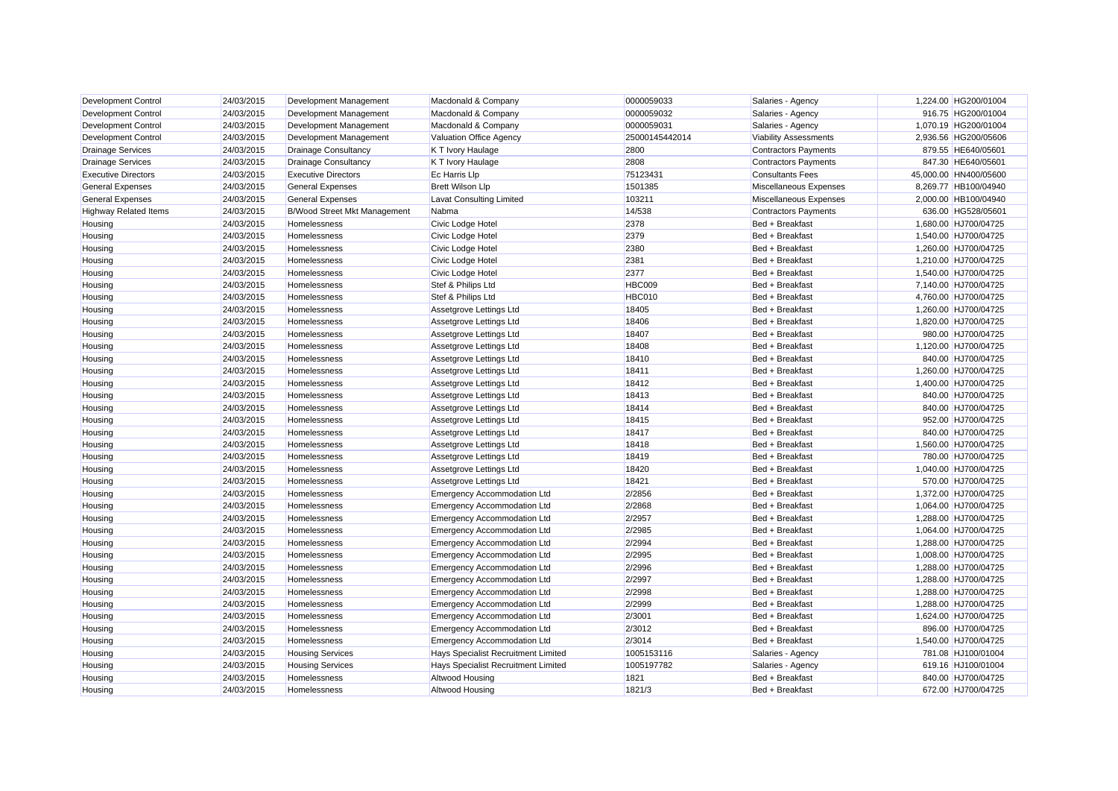| Development Control          | 24/03/2015 | Development Management              | Macdonald & Company                 | 0000059033     | Salaries - Agency            | 1,224.00 HG200/01004  |
|------------------------------|------------|-------------------------------------|-------------------------------------|----------------|------------------------------|-----------------------|
| <b>Development Control</b>   | 24/03/2015 | Development Management              | Macdonald & Company                 | 0000059032     | Salaries - Agency            | 916.75 HG200/01004    |
| <b>Development Control</b>   | 24/03/2015 | Development Management              | Macdonald & Company                 | 0000059031     | Salaries - Agency            | 1,070.19 HG200/01004  |
| <b>Development Control</b>   | 24/03/2015 | Development Management              | Valuation Office Agency             | 25000145442014 | <b>Viability Assessments</b> | 2,936.56 HG200/05606  |
| <b>Drainage Services</b>     | 24/03/2015 | <b>Drainage Consultancy</b>         | K T Ivory Haulage                   | 2800           | <b>Contractors Payments</b>  | 879.55 HE640/05601    |
| <b>Drainage Services</b>     | 24/03/2015 | <b>Drainage Consultancy</b>         | K T Ivory Haulage                   | 2808           | <b>Contractors Payments</b>  | 847.30 HE640/05601    |
| <b>Executive Directors</b>   | 24/03/2015 | <b>Executive Directors</b>          | <b>Ec Harris Llp</b>                | 75123431       | <b>Consultants Fees</b>      | 45.000.00 HN400/05600 |
| <b>General Expenses</b>      | 24/03/2015 | <b>General Expenses</b>             | <b>Brett Wilson Llp</b>             | 1501385        | Miscellaneous Expenses       | 8,269.77 HB100/04940  |
| <b>General Expenses</b>      | 24/03/2015 | <b>General Expenses</b>             | <b>Lavat Consulting Limited</b>     | 103211         | Miscellaneous Expenses       | 2,000.00 HB100/04940  |
| <b>Highway Related Items</b> | 24/03/2015 | <b>B/Wood Street Mkt Management</b> | Nabma                               | 14/538         | <b>Contractors Payments</b>  | 636.00 HG528/05601    |
| Housing                      | 24/03/2015 | Homelessness                        | Civic Lodge Hotel                   | 2378           | Bed + Breakfast              | 1,680.00 HJ700/04725  |
| Housing                      | 24/03/2015 | Homelessness                        | Civic Lodge Hotel                   | 2379           | Bed + Breakfast              | 1,540.00 HJ700/04725  |
| Housing                      | 24/03/2015 | Homelessness                        | Civic Lodge Hotel                   | 2380           | Bed + Breakfast              | 1,260.00 HJ700/04725  |
| Housing                      | 24/03/2015 | Homelessness                        | Civic Lodge Hotel                   | 2381           | Bed + Breakfast              | 1,210.00 HJ700/04725  |
| Housing                      | 24/03/2015 | Homelessness                        | Civic Lodge Hotel                   | 2377           | Bed + Breakfast              | 1,540.00 HJ700/04725  |
| Housing                      | 24/03/2015 | Homelessness                        | Stef & Philips Ltd                  | <b>HBC009</b>  | Bed + Breakfast              | 7,140.00 HJ700/04725  |
| Housing                      | 24/03/2015 | Homelessness                        | Stef & Philips Ltd                  | <b>HBC010</b>  | Bed + Breakfast              | 4,760.00 HJ700/04725  |
| Housing                      | 24/03/2015 | Homelessness                        | Assetgrove Lettings Ltd             | 18405          | Bed + Breakfast              | 1,260.00 HJ700/04725  |
| Housing                      | 24/03/2015 | Homelessness                        | Assetgrove Lettings Ltd             | 18406          | Bed + Breakfast              | 1,820.00 HJ700/04725  |
| Housing                      | 24/03/2015 | Homelessness                        | Assetgrove Lettings Ltd             | 18407          | Bed + Breakfast              | 980.00 HJ700/04725    |
| Housing                      | 24/03/2015 | <b>Homelessness</b>                 | Assetgrove Lettings Ltd             | 18408          | Bed + Breakfast              | 1,120.00 HJ700/04725  |
| Housing                      | 24/03/2015 | Homelessness                        | Assetgrove Lettings Ltd             | 18410          | Bed + Breakfast              | 840.00 HJ700/04725    |
| Housing                      | 24/03/2015 | Homelessness                        | Assetgrove Lettings Ltd             | 18411          | Bed + Breakfast              | 1,260.00 HJ700/04725  |
| Housing                      | 24/03/2015 | Homelessness                        | Assetgrove Lettings Ltd             | 18412          | Bed + Breakfast              | 1,400.00 HJ700/04725  |
| Housing                      | 24/03/2015 | Homelessness                        | Assetgrove Lettings Ltd             | 18413          | Bed + Breakfast              | 840.00 HJ700/04725    |
| Housing                      | 24/03/2015 | Homelessness                        | Assetgrove Lettings Ltd             | 18414          | Bed + Breakfast              | 840.00 HJ700/04725    |
| Housing                      | 24/03/2015 | Homelessness                        | Assetgrove Lettings Ltd             | 18415          | Bed + Breakfast              | 952.00 HJ700/04725    |
| Housing                      | 24/03/2015 | Homelessness                        | Assetgrove Lettings Ltd             | 18417          | Bed + Breakfast              | 840.00 HJ700/04725    |
| Housing                      | 24/03/2015 | Homelessness                        | Assetgrove Lettings Ltd             | 18418          | Bed + Breakfast              | 1,560.00 HJ700/04725  |
| Housing                      | 24/03/2015 | Homelessness                        | Assetgrove Lettings Ltd             | 18419          | Bed + Breakfast              | 780.00 HJ700/04725    |
| Housing                      | 24/03/2015 | <b>Homelessness</b>                 | Assetgrove Lettings Ltd             | 18420          | Bed + Breakfast              | 1,040.00 HJ700/04725  |
| Housing                      | 24/03/2015 | Homelessness                        | Assetgrove Lettings Ltd             | 18421          | Bed + Breakfast              | 570.00 HJ700/04725    |
| Housing                      | 24/03/2015 | Homelessness                        | <b>Emergency Accommodation Ltd</b>  | 2/2856         | Bed + Breakfast              | 1,372.00 HJ700/04725  |
| Housing                      | 24/03/2015 | Homelessness                        | Emergency Accommodation Ltd         | 2/2868         | Bed + Breakfast              | 1,064.00 HJ700/04725  |
| Housing                      | 24/03/2015 | Homelessness                        | <b>Emergency Accommodation Ltd</b>  | 2/2957         | Bed + Breakfast              | 1,288.00 HJ700/04725  |
| Housing                      | 24/03/2015 | Homelessness                        | Emergency Accommodation Ltd         | 2/2985         | Bed + Breakfast              | 1,064.00 HJ700/04725  |
| Housing                      | 24/03/2015 | Homelessness                        | <b>Emergency Accommodation Ltd</b>  | 2/2994         | Bed + Breakfast              | 1,288.00 HJ700/04725  |
| Housing                      | 24/03/2015 | Homelessness                        | Emergency Accommodation Ltd         | 2/2995         | Bed + Breakfast              | 1,008.00 HJ700/04725  |
| Housing                      | 24/03/2015 | Homelessness                        | <b>Emergency Accommodation Ltd</b>  | 2/2996         | Bed + Breakfast              | 1,288.00 HJ700/04725  |
| Housing                      | 24/03/2015 | Homelessness                        | <b>Emergency Accommodation Ltd</b>  | 2/2997         | Bed + Breakfast              | 1,288.00 HJ700/04725  |
| Housing                      | 24/03/2015 | Homelessness                        | <b>Emergency Accommodation Ltd</b>  | 2/2998         | Bed + Breakfast              | 1,288.00 HJ700/04725  |
| Housing                      | 24/03/2015 | <b>Homelessness</b>                 | <b>Emergency Accommodation Ltd</b>  | 2/2999         | Bed + Breakfast              | 1,288.00 HJ700/04725  |
| Housing                      | 24/03/2015 | Homelessness                        | <b>Emergency Accommodation Ltd</b>  | 2/3001         | Bed + Breakfast              | 1,624.00 HJ700/04725  |
| Housing                      | 24/03/2015 | Homelessness                        | <b>Emergency Accommodation Ltd</b>  | 2/3012         | Bed + Breakfast              | 896.00 HJ700/04725    |
| Housing                      | 24/03/2015 | Homelessness                        | <b>Emergency Accommodation Ltd</b>  | 2/3014         | Bed + Breakfast              | 1,540.00 HJ700/04725  |
| Housing                      | 24/03/2015 | <b>Housing Services</b>             | Hays Specialist Recruitment Limited | 1005153116     | Salaries - Agency            | 781.08 HJ100/01004    |
| Housing                      | 24/03/2015 | <b>Housing Services</b>             | Hays Specialist Recruitment Limited | 1005197782     | Salaries - Agency            | 619.16 HJ100/01004    |
| Housing                      | 24/03/2015 | Homelessness                        | Altwood Housing                     | 1821           | Bed + Breakfast              | 840.00 HJ700/04725    |
| Housing                      | 24/03/2015 | Homelessness                        | Altwood Housing                     | 1821/3         | Bed + Breakfast              | 672.00 HJ700/04725    |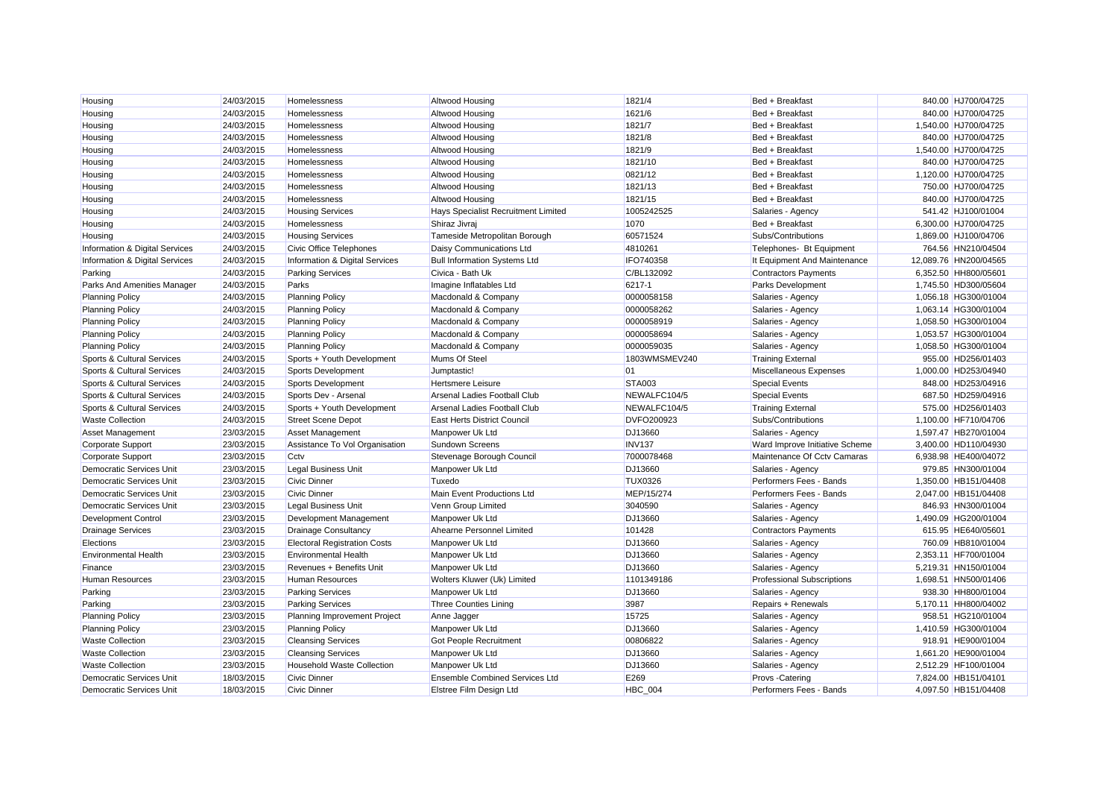| Housing                               | 24/03/2015 | Homelessness                        | Altwood Housing                       | 1821/4             | Bed + Breakfast                   | 840.00 HJ700/04725    |
|---------------------------------------|------------|-------------------------------------|---------------------------------------|--------------------|-----------------------------------|-----------------------|
| Housing                               | 24/03/2015 | Homelessness                        | Altwood Housing                       | 1621/6             | Bed + Breakfast                   | 840.00 HJ700/04725    |
| Housing                               | 24/03/2015 | Homelessness                        | Altwood Housing                       | 1821/7             | Bed + Breakfast                   | 1,540.00 HJ700/04725  |
| Housing                               | 24/03/2015 | Homelessness                        | Altwood Housing                       | 1821/8             | Bed + Breakfast                   | 840.00 HJ700/04725    |
| Housing                               | 24/03/2015 | Homelessness                        | Altwood Housing                       | 1821/9             | Bed + Breakfast                   | 1,540.00 HJ700/04725  |
| Housing                               | 24/03/2015 | Homelessness                        | Altwood Housing                       | 1821/10            | Bed + Breakfast                   | 840.00 HJ700/04725    |
| Housing                               | 24/03/2015 | Homelessness                        | Altwood Housing                       | 0821/12            | Bed + Breakfast                   | 1,120.00 HJ700/04725  |
| Housing                               | 24/03/2015 | Homelessness                        | Altwood Housing                       | 1821/13            | Bed + Breakfast                   | 750.00 HJ700/04725    |
| Housing                               | 24/03/2015 | Homelessness                        | Altwood Housing                       | 1821/15            | Bed + Breakfast                   | 840.00 HJ700/04725    |
| Housing                               | 24/03/2015 | <b>Housing Services</b>             | Hays Specialist Recruitment Limited   | 1005242525         | Salaries - Agency                 | 541.42 HJ100/01004    |
| Housing                               | 24/03/2015 | Homelessness                        | Shiraz Jivraj                         | 1070               | Bed + Breakfast                   | 6,300.00 HJ700/04725  |
| Housing                               | 24/03/2015 | <b>Housing Services</b>             | Tameside Metropolitan Borough         | 60571524           | Subs/Contributions                | 1,869.00 HJ100/04706  |
| Information & Digital Services        | 24/03/2015 | Civic Office Telephones             | Daisy Communications Ltd              | 4810261            | Telephones- Bt Equipment          | 764.56 HN210/04504    |
| Information & Digital Services        | 24/03/2015 | Information & Digital Services      | <b>Bull Information Systems Ltd</b>   | IFO740358          | It Equipment And Maintenance      | 12.089.76 HN200/04565 |
| Parking                               | 24/03/2015 | <b>Parking Services</b>             | Civica - Bath Uk                      | C/BL132092         | <b>Contractors Payments</b>       | 6,352.50 HH800/05601  |
| Parks And Amenities Manager           | 24/03/2015 | Parks                               | Imagine Inflatables Ltd               | 6217-1             | Parks Development                 | 1,745.50 HD300/05604  |
| <b>Planning Policy</b>                | 24/03/2015 | <b>Planning Policy</b>              | Macdonald & Company                   | 0000058158         | Salaries - Agency                 | 1,056.18 HG300/01004  |
| <b>Planning Policy</b>                | 24/03/2015 | <b>Planning Policy</b>              | Macdonald & Company                   | 0000058262         | Salaries - Agency                 | 1,063.14 HG300/01004  |
| <b>Planning Policy</b>                | 24/03/2015 | <b>Planning Policy</b>              | Macdonald & Company                   | 0000058919         | Salaries - Agency                 | 1,058.50 HG300/01004  |
| <b>Planning Policy</b>                | 24/03/2015 | <b>Planning Policy</b>              | Macdonald & Company                   | 0000058694         | Salaries - Agency                 | 1,053.57 HG300/01004  |
| <b>Planning Policy</b>                | 24/03/2015 | <b>Planning Policy</b>              | Macdonald & Company                   | 0000059035         | Salaries - Agency                 | 1,058.50 HG300/01004  |
| Sports & Cultural Services            | 24/03/2015 | Sports + Youth Development          | Mums Of Steel                         | 1803WMSMEV240      | <b>Training External</b>          | 955.00 HD256/01403    |
| Sports & Cultural Services            | 24/03/2015 | Sports Development                  | Jumptastic!                           | 01                 | Miscellaneous Expenses            | 1,000.00 HD253/04940  |
| <b>Sports &amp; Cultural Services</b> | 24/03/2015 | <b>Sports Development</b>           | Hertsmere Leisure                     | <b>STA003</b>      | <b>Special Events</b>             | 848.00 HD253/04916    |
| Sports & Cultural Services            | 24/03/2015 | Sports Dev - Arsenal                | Arsenal Ladies Football Club          | NEWALFC104/5       | <b>Special Events</b>             | 687.50 HD259/04916    |
| Sports & Cultural Services            | 24/03/2015 | Sports + Youth Development          | Arsenal Ladies Football Club          | NEWALFC104/5       | <b>Training External</b>          | 575.00 HD256/01403    |
| <b>Waste Collection</b>               | 24/03/2015 | <b>Street Scene Depot</b>           | <b>East Herts District Council</b>    | <b>DVFO200923</b>  | Subs/Contributions                | 1,100.00 HF710/04706  |
| <b>Asset Management</b>               | 23/03/2015 | Asset Management                    | Manpower Uk Ltd                       | DJ13660            | Salaries - Agency                 | 1.597.47 HB270/01004  |
| <b>Corporate Support</b>              | 23/03/2015 | Assistance To Vol Organisation      | <b>Sundown Screens</b>                | INV <sub>137</sub> | Ward Improve Initiative Scheme    | 3,400.00 HD110/04930  |
| <b>Corporate Support</b>              | 23/03/2015 | Cctv                                | Stevenage Borough Council             | 7000078468         | Maintenance Of Cctv Camaras       | 6,938.98 HE400/04072  |
| Democratic Services Unit              | 23/03/2015 | <b>Legal Business Unit</b>          | Manpower Uk Ltd                       | DJ13660            | Salaries - Agency                 | 979.85 HN300/01004    |
| Democratic Services Unit              | 23/03/2015 | <b>Civic Dinner</b>                 | Tuxedo                                | <b>TUX0326</b>     | Performers Fees - Bands           | 1,350.00 HB151/04408  |
| <b>Democratic Services Unit</b>       | 23/03/2015 | <b>Civic Dinner</b>                 | Main Event Productions Ltd            | MEP/15/274         | Performers Fees - Bands           | 2,047.00 HB151/04408  |
| <b>Democratic Services Unit</b>       | 23/03/2015 | <b>Legal Business Unit</b>          | Venn Group Limited                    | 3040590            | Salaries - Agency                 | 846.93 HN300/01004    |
| <b>Development Control</b>            | 23/03/2015 | Development Management              | Manpower Uk Ltd                       | DJ13660            | Salaries - Agency                 | 1,490.09 HG200/01004  |
| <b>Drainage Services</b>              | 23/03/2015 | <b>Drainage Consultancy</b>         | Ahearne Personnel Limited             | 101428             | <b>Contractors Payments</b>       | 615.95 HE640/05601    |
| Elections                             | 23/03/2015 | <b>Electoral Registration Costs</b> | Manpower Uk Ltd                       | DJ13660            | Salaries - Agency                 | 760.09 HB810/01004    |
| <b>Environmental Health</b>           | 23/03/2015 | <b>Environmental Health</b>         | Manpower Uk Ltd                       | DJ13660            | Salaries - Agency                 | 2.353.11 HF700/01004  |
| Finance                               | 23/03/2015 | Revenues + Benefits Unit            | Manpower Uk Ltd                       | DJ13660            | Salaries - Agency                 | 5,219.31 HN150/01004  |
| <b>Human Resources</b>                | 23/03/2015 | Human Resources                     | Wolters Kluwer (Uk) Limited           | 1101349186         | <b>Professional Subscriptions</b> | 1,698.51 HN500/01406  |
| Parking                               | 23/03/2015 | <b>Parking Services</b>             | Manpower Uk Ltd                       | DJ13660            | Salaries - Agency                 | 938.30 HH800/01004    |
| Parking                               | 23/03/2015 | <b>Parking Services</b>             | <b>Three Counties Lining</b>          | 3987               | Repairs + Renewals                | 5,170.11 HH800/04002  |
| <b>Planning Policy</b>                | 23/03/2015 | Planning Improvement Project        | Anne Jagger                           | 15725              | Salaries - Agency                 | 958.51 HG210/01004    |
| <b>Planning Policy</b>                | 23/03/2015 | <b>Planning Policy</b>              | Manpower Uk Ltd                       | DJ13660            | Salaries - Agency                 | 1,410.59 HG300/01004  |
| <b>Waste Collection</b>               | 23/03/2015 | <b>Cleansing Services</b>           | <b>Got People Recruitment</b>         | 00806822           | Salaries - Agency                 | 918.91 HE900/01004    |
| <b>Waste Collection</b>               | 23/03/2015 | <b>Cleansing Services</b>           | Manpower Uk Ltd                       | DJ13660            | Salaries - Agency                 | 1,661.20 HE900/01004  |
| <b>Waste Collection</b>               | 23/03/2015 | <b>Household Waste Collection</b>   | Manpower Uk Ltd                       | DJ13660            | Salaries - Agency                 | 2,512.29 HF100/01004  |
| <b>Democratic Services Unit</b>       | 18/03/2015 | <b>Civic Dinner</b>                 | <b>Ensemble Combined Services Ltd</b> | E269               | Provs - Catering                  | 7.824.00 HB151/04101  |
| Democratic Services Unit              | 18/03/2015 | Civic Dinner                        | Elstree Film Design Ltd               | <b>HBC 004</b>     | Performers Fees - Bands           | 4.097.50 HB151/04408  |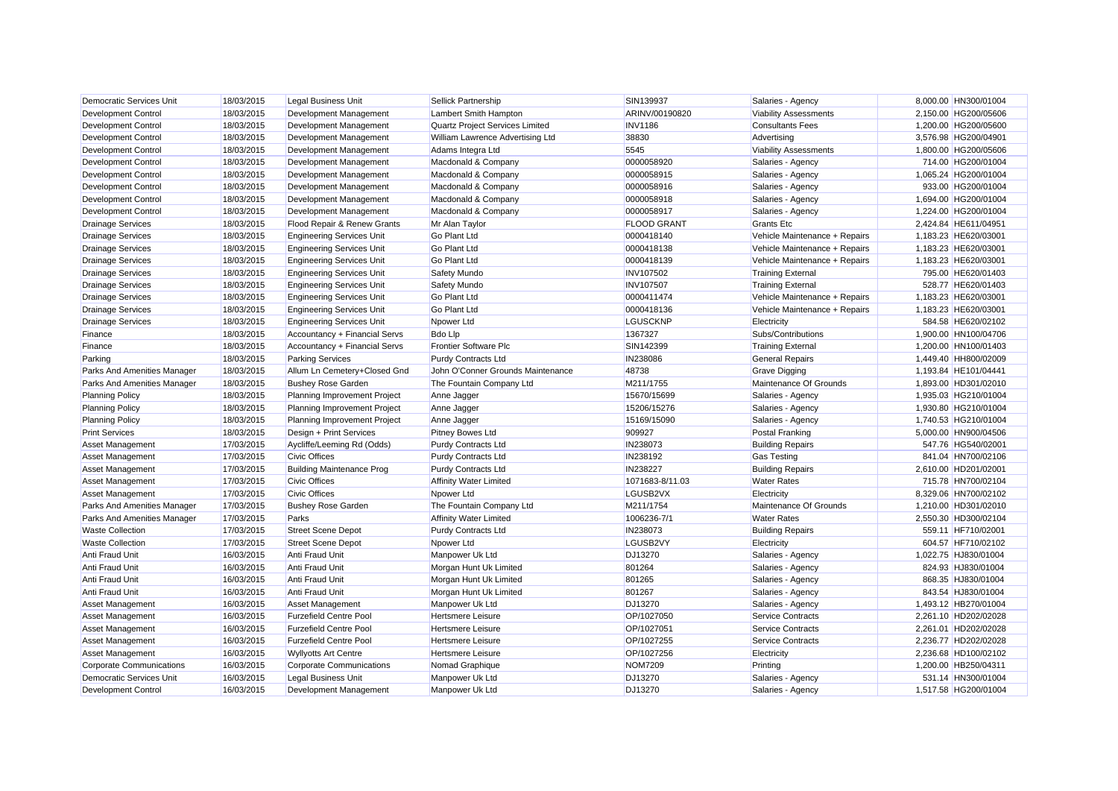| Democratic Services Unit        | 18/03/2015 | <b>Legal Business Unit</b>       | Sellick Partnership               | SIN139937          | Salaries - Agency             | 8,000.00 HN300/01004 |
|---------------------------------|------------|----------------------------------|-----------------------------------|--------------------|-------------------------------|----------------------|
| <b>Development Control</b>      | 18/03/2015 | Development Management           | Lambert Smith Hampton             | ARINV/00190820     | <b>Viability Assessments</b>  | 2,150.00 HG200/05606 |
| <b>Development Control</b>      | 18/03/2015 | Development Management           | Quartz Project Services Limited   | <b>INV1186</b>     | <b>Consultants Fees</b>       | 1,200.00 HG200/05600 |
| Development Control             | 18/03/2015 | Development Management           | William Lawrence Advertising Ltd  | 38830              | Advertising                   | 3,576.98 HG200/04901 |
| <b>Development Control</b>      | 18/03/2015 | Development Management           | Adams Integra Ltd                 | 5545               | <b>Viability Assessments</b>  | 1,800.00 HG200/05606 |
| <b>Development Control</b>      | 18/03/2015 | Development Management           | Macdonald & Company               | 0000058920         | Salaries - Agency             | 714.00 HG200/01004   |
| <b>Development Control</b>      | 18/03/2015 | Development Management           | Macdonald & Company               | 0000058915         | Salaries - Agency             | 1.065.24 HG200/01004 |
| <b>Development Control</b>      | 18/03/2015 | Development Management           | Macdonald & Company               | 0000058916         | Salaries - Agency             | 933.00 HG200/01004   |
| <b>Development Control</b>      | 18/03/2015 | Development Management           | Macdonald & Company               | 0000058918         | Salaries - Agency             | 1,694.00 HG200/01004 |
| <b>Development Control</b>      | 18/03/2015 | Development Management           | Macdonald & Company               | 0000058917         | Salaries - Agency             | 1,224.00 HG200/01004 |
| <b>Drainage Services</b>        | 18/03/2015 | Flood Repair & Renew Grants      | Mr Alan Taylor                    | <b>FLOOD GRANT</b> | <b>Grants Etc</b>             | 2,424.84 HE611/04951 |
| <b>Drainage Services</b>        | 18/03/2015 | <b>Engineering Services Unit</b> | Go Plant Ltd                      | 0000418140         | Vehicle Maintenance + Repairs | 1,183.23 HE620/03001 |
| <b>Drainage Services</b>        | 18/03/2015 | <b>Engineering Services Unit</b> | <b>Go Plant Ltd</b>               | 0000418138         | Vehicle Maintenance + Repairs | 1,183.23 HE620/03001 |
| <b>Drainage Services</b>        | 18/03/2015 | <b>Engineering Services Unit</b> | <b>Go Plant Ltd</b>               | 0000418139         | Vehicle Maintenance + Repairs | 1,183.23 HE620/03001 |
| <b>Drainage Services</b>        | 18/03/2015 | <b>Engineering Services Unit</b> | Safety Mundo                      | <b>INV107502</b>   | <b>Training External</b>      | 795.00 HE620/01403   |
| <b>Drainage Services</b>        | 18/03/2015 | <b>Engineering Services Unit</b> | Safety Mundo                      | <b>INV107507</b>   | <b>Training External</b>      | 528.77 HE620/01403   |
| <b>Drainage Services</b>        | 18/03/2015 | <b>Engineering Services Unit</b> | <b>Go Plant Ltd</b>               | 0000411474         | Vehicle Maintenance + Repairs | 1,183.23 HE620/03001 |
| <b>Drainage Services</b>        | 18/03/2015 | <b>Engineering Services Unit</b> | <b>Go Plant Ltd</b>               | 0000418136         | Vehicle Maintenance + Repairs | 1,183.23 HE620/03001 |
| <b>Drainage Services</b>        | 18/03/2015 | <b>Engineering Services Unit</b> | Npower Ltd                        | <b>LGUSCKNP</b>    | Electricity                   | 584.58 HE620/02102   |
| Finance                         | 18/03/2015 | Accountancy + Financial Servs    | <b>Bdo Llp</b>                    | 1367327            | Subs/Contributions            | 1,900.00 HN100/04706 |
| Finance                         | 18/03/2015 | Accountancy + Financial Servs    | <b>Frontier Software Plc</b>      | SIN142399          | <b>Training External</b>      | 1.200.00 HN100/01403 |
| Parking                         | 18/03/2015 | <b>Parking Services</b>          | <b>Purdy Contracts Ltd</b>        | IN238086           | <b>General Repairs</b>        | 1,449.40 HH800/02009 |
| Parks And Amenities Manager     | 18/03/2015 | Allum Ln Cemetery+Closed Gnd     | John O'Conner Grounds Maintenance | 48738              | <b>Grave Digging</b>          | 1,193.84 HE101/04441 |
| Parks And Amenities Manager     | 18/03/2015 | <b>Bushey Rose Garden</b>        | The Fountain Company Ltd          | M211/1755          | Maintenance Of Grounds        | 1,893.00 HD301/02010 |
| <b>Planning Policy</b>          | 18/03/2015 | Planning Improvement Project     | Anne Jagger                       | 15670/15699        | Salaries - Agency             | 1,935.03 HG210/01004 |
| <b>Planning Policy</b>          | 18/03/2015 | Planning Improvement Project     | Anne Jagger                       | 15206/15276        | Salaries - Agency             | 1,930.80 HG210/01004 |
| <b>Planning Policy</b>          | 18/03/2015 | Planning Improvement Project     | Anne Jagger                       | 15169/15090        | Salaries - Agency             | 1,740.53 HG210/01004 |
| <b>Print Services</b>           | 18/03/2015 | Design + Print Services          | <b>Pitney Bowes Ltd</b>           | 909927             | Postal Franking               | 5.000.00 HN900/04506 |
| <b>Asset Management</b>         | 17/03/2015 | Aycliffe/Leeming Rd (Odds)       | <b>Purdy Contracts Ltd</b>        | IN238073           | <b>Building Repairs</b>       | 547.76 HG540/02001   |
| <b>Asset Management</b>         | 17/03/2015 | <b>Civic Offices</b>             | <b>Purdy Contracts Ltd</b>        | IN238192           | <b>Gas Testing</b>            | 841.04 HN700/02106   |
| <b>Asset Management</b>         | 17/03/2015 | <b>Building Maintenance Prog</b> | <b>Purdy Contracts Ltd</b>        | IN238227           | <b>Building Repairs</b>       | 2,610.00 HD201/02001 |
| <b>Asset Management</b>         | 17/03/2015 | <b>Civic Offices</b>             | <b>Affinity Water Limited</b>     | 1071683-8/11.03    | <b>Water Rates</b>            | 715.78 HN700/02104   |
| <b>Asset Management</b>         | 17/03/2015 | <b>Civic Offices</b>             | Npower Ltd                        | LGUSB2VX           | Electricity                   | 8,329.06 HN700/02102 |
| Parks And Amenities Manager     | 17/03/2015 | <b>Bushey Rose Garden</b>        | The Fountain Company Ltd          | M211/1754          | Maintenance Of Grounds        | 1,210.00 HD301/02010 |
| Parks And Amenities Manager     | 17/03/2015 | Parks                            | <b>Affinity Water Limited</b>     | 1006236-7/1        | <b>Water Rates</b>            | 2,550.30 HD300/02104 |
| <b>Waste Collection</b>         | 17/03/2015 | <b>Street Scene Depot</b>        | <b>Purdy Contracts Ltd</b>        | IN238073           | <b>Building Repairs</b>       | 559.11 HF710/02001   |
| <b>Waste Collection</b>         | 17/03/2015 | <b>Street Scene Depot</b>        | Npower Ltd                        | LGUSB2VY           | Electricity                   | 604.57 HF710/02102   |
| Anti Fraud Unit                 | 16/03/2015 | Anti Fraud Unit                  | Manpower Uk Ltd                   | DJ13270            | Salaries - Agency             | 1,022.75 HJ830/01004 |
| Anti Fraud Unit                 | 16/03/2015 | Anti Fraud Unit                  | Morgan Hunt Uk Limited            | 801264             | Salaries - Agency             | 824.93 HJ830/01004   |
| Anti Fraud Unit                 | 16/03/2015 | Anti Fraud Unit                  | Morgan Hunt Uk Limited            | 801265             | Salaries - Agency             | 868.35 HJ830/01004   |
| <b>Anti Fraud Unit</b>          | 16/03/2015 | Anti Fraud Unit                  | Morgan Hunt Uk Limited            | 801267             | Salaries - Agency             | 843.54 HJ830/01004   |
| <b>Asset Management</b>         | 16/03/2015 | <b>Asset Management</b>          | Manpower Uk Ltd                   | DJ13270            | Salaries - Agency             | 1.493.12 HB270/01004 |
| Asset Management                | 16/03/2015 | <b>Furzefield Centre Pool</b>    | <b>Hertsmere Leisure</b>          | OP/1027050         | <b>Service Contracts</b>      | 2,261.10 HD202/02028 |
| <b>Asset Management</b>         | 16/03/2015 | <b>Furzefield Centre Pool</b>    | <b>Hertsmere Leisure</b>          | OP/1027051         | <b>Service Contracts</b>      | 2,261.01 HD202/02028 |
| <b>Asset Management</b>         | 16/03/2015 | <b>Furzefield Centre Pool</b>    | Hertsmere Leisure                 | OP/1027255         | <b>Service Contracts</b>      | 2,236.77 HD202/02028 |
| <b>Asset Management</b>         | 16/03/2015 | <b>Wyllyotts Art Centre</b>      | <b>Hertsmere Leisure</b>          | OP/1027256         | Electricity                   | 2,236.68 HD100/02102 |
| <b>Corporate Communications</b> | 16/03/2015 | <b>Corporate Communications</b>  | Nomad Graphique                   | <b>NOM7209</b>     | Printing                      | 1,200.00 HB250/04311 |
| Democratic Services Unit        | 16/03/2015 | <b>Legal Business Unit</b>       | Manpower Uk Ltd                   | DJ13270            | Salaries - Agency             | 531.14 HN300/01004   |
| Development Control             | 16/03/2015 | Development Management           | Manpower Uk Ltd                   | DJ13270            | Salaries - Agency             | 1.517.58 HG200/01004 |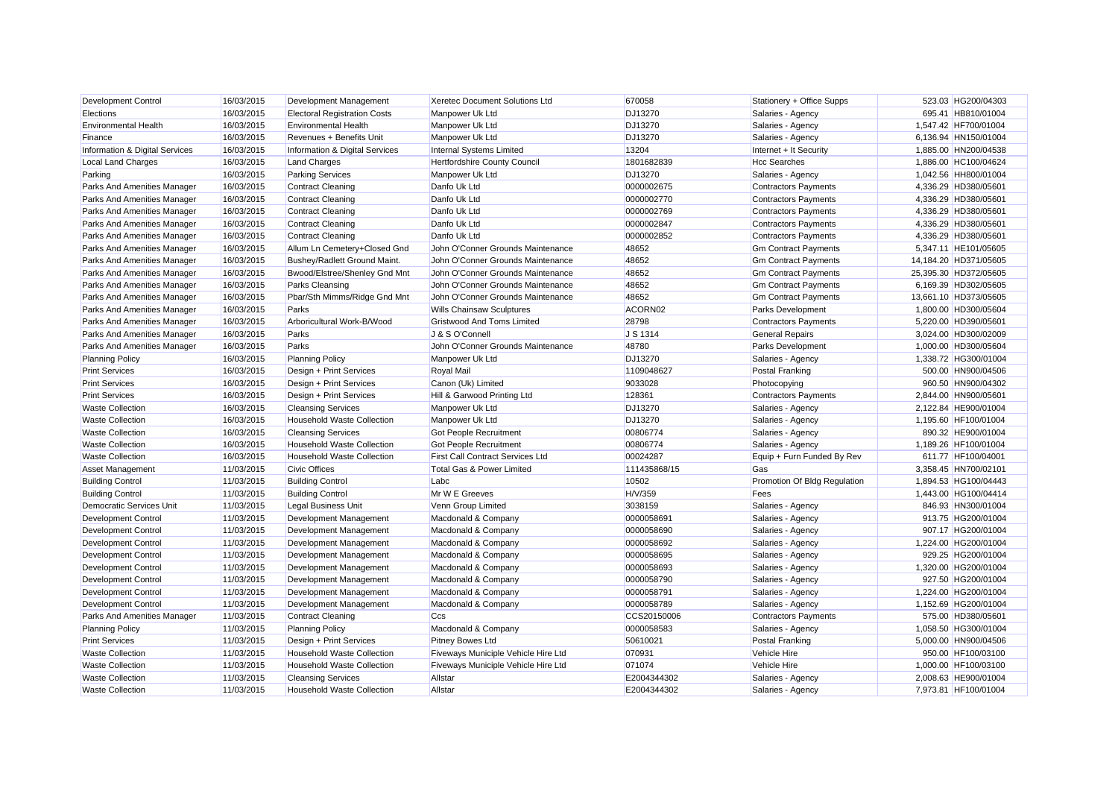| Development Control                | 16/03/2015 | Development Management              | Xeretec Document Solutions Ltd          | 670058       | Stationery + Office Supps    | 523.03 HG200/04303    |
|------------------------------------|------------|-------------------------------------|-----------------------------------------|--------------|------------------------------|-----------------------|
| Elections                          | 16/03/2015 | <b>Electoral Registration Costs</b> | Manpower Uk Ltd                         | DJ13270      | Salaries - Agency            | 695.41 HB810/01004    |
| <b>Environmental Health</b>        | 16/03/2015 | <b>Environmental Health</b>         | Manpower Uk Ltd                         | DJ13270      | Salaries - Agency            | 1,547.42 HF700/01004  |
| Finance                            | 16/03/2015 | Revenues + Benefits Unit            | Manpower Uk Ltd                         | DJ13270      | Salaries - Agency            | 6,136.94 HN150/01004  |
| Information & Digital Services     | 16/03/2015 | Information & Digital Services      | Internal Systems Limited                | 13204        | Internet + It Security       | 1,885.00 HN200/04538  |
| Local Land Charges                 | 16/03/2015 | <b>Land Charges</b>                 | Hertfordshire County Council            | 1801682839   | <b>Hcc Searches</b>          | 1,886.00 HC100/04624  |
| Parking                            | 16/03/2015 | <b>Parking Services</b>             | Manpower Uk Ltd                         | DJ13270      | Salaries - Agency            | 1,042.56 HH800/01004  |
| Parks And Amenities Manager        | 16/03/2015 | <b>Contract Cleaning</b>            | Danfo Uk Ltd                            | 0000002675   | <b>Contractors Payments</b>  | 4,336.29 HD380/05601  |
| <b>Parks And Amenities Manager</b> | 16/03/2015 | <b>Contract Cleaning</b>            | Danfo Uk Ltd                            | 0000002770   | <b>Contractors Payments</b>  | 4,336.29 HD380/05601  |
| Parks And Amenities Manager        | 16/03/2015 | <b>Contract Cleaning</b>            | Danfo Uk Ltd                            | 0000002769   | <b>Contractors Payments</b>  | 4,336.29 HD380/05601  |
| Parks And Amenities Manager        | 16/03/2015 | <b>Contract Cleaning</b>            | Danfo Uk Ltd                            | 0000002847   | <b>Contractors Payments</b>  | 4.336.29 HD380/05601  |
| <b>Parks And Amenities Manager</b> | 16/03/2015 | <b>Contract Cleaning</b>            | Danfo Uk Ltd                            | 0000002852   | <b>Contractors Payments</b>  | 4,336.29 HD380/05601  |
| Parks And Amenities Manager        | 16/03/2015 | Allum Ln Cemetery+Closed Gnd        | John O'Conner Grounds Maintenance       | 48652        | <b>Gm Contract Payments</b>  | 5,347.11 HE101/05605  |
| Parks And Amenities Manager        | 16/03/2015 | Bushey/Radlett Ground Maint.        | John O'Conner Grounds Maintenance       | 48652        | <b>Gm Contract Payments</b>  | 14,184.20 HD371/05605 |
| Parks And Amenities Manager        | 16/03/2015 | Bwood/Elstree/Shenley Gnd Mnt       | John O'Conner Grounds Maintenance       | 48652        | <b>Gm Contract Payments</b>  | 25,395.30 HD372/05605 |
| Parks And Amenities Manager        | 16/03/2015 | Parks Cleansing                     | John O'Conner Grounds Maintenance       | 48652        | <b>Gm Contract Payments</b>  | 6,169.39 HD302/05605  |
| Parks And Amenities Manager        | 16/03/2015 | Pbar/Sth Mimms/Ridge Gnd Mnt        | John O'Conner Grounds Maintenance       | 48652        | <b>Gm Contract Payments</b>  | 13,661.10 HD373/05605 |
| Parks And Amenities Manager        | 16/03/2015 | Parks                               | <b>Wills Chainsaw Sculptures</b>        | ACORN02      | <b>Parks Development</b>     | 1,800.00 HD300/05604  |
| Parks And Amenities Manager        | 16/03/2015 | Arboricultural Work-B/Wood          | <b>Gristwood And Toms Limited</b>       | 28798        | <b>Contractors Payments</b>  | 5,220.00 HD390/05601  |
| <b>Parks And Amenities Manager</b> | 16/03/2015 | Parks                               | J & S O'Connell                         | J S 1314     | <b>General Repairs</b>       | 3,024.00 HD300/02009  |
| Parks And Amenities Manager        | 16/03/2015 | Parks                               | John O'Conner Grounds Maintenance       | 48780        | Parks Development            | 1,000.00 HD300/05604  |
| <b>Planning Policy</b>             | 16/03/2015 | <b>Planning Policy</b>              | Manpower Uk Ltd                         | DJ13270      | Salaries - Agency            | 1,338.72 HG300/01004  |
| <b>Print Services</b>              | 16/03/2015 | Design + Print Services             | Royal Mail                              | 1109048627   | <b>Postal Franking</b>       | 500.00 HN900/04506    |
| <b>Print Services</b>              | 16/03/2015 | Design + Print Services             | Canon (Uk) Limited                      | 9033028      | Photocopying                 | 960.50 HN900/04302    |
| <b>Print Services</b>              | 16/03/2015 | Design + Print Services             | Hill & Garwood Printing Ltd             | 128361       | <b>Contractors Payments</b>  | 2,844.00 HN900/05601  |
| <b>Waste Collection</b>            | 16/03/2015 | <b>Cleansing Services</b>           | Manpower Uk Ltd                         | DJ13270      | Salaries - Agency            | 2,122.84 HE900/01004  |
| <b>Waste Collection</b>            | 16/03/2015 | <b>Household Waste Collection</b>   | Manpower Uk Ltd                         | DJ13270      | Salaries - Agency            | 1,195.60 HF100/01004  |
| <b>Waste Collection</b>            | 16/03/2015 | <b>Cleansing Services</b>           | <b>Got People Recruitment</b>           | 00806774     | Salaries - Agency            | 890.32 HE900/01004    |
| <b>Waste Collection</b>            | 16/03/2015 | <b>Household Waste Collection</b>   | Got People Recruitment                  | 00806774     | Salaries - Agency            | 1,189.26 HF100/01004  |
| <b>Waste Collection</b>            | 16/03/2015 | <b>Household Waste Collection</b>   | <b>First Call Contract Services Ltd</b> | 00024287     | Equip + Furn Funded By Rev   | 611.77 HF100/04001    |
| Asset Management                   | 11/03/2015 | <b>Civic Offices</b>                | Total Gas & Power Limited               | 111435868/15 | Gas                          | 3,358.45 HN700/02101  |
| <b>Building Control</b>            | 11/03/2015 | <b>Building Control</b>             | Labc                                    | 10502        | Promotion Of Bldg Regulation | 1,894.53 HG100/04443  |
| <b>Building Control</b>            | 11/03/2015 | <b>Building Control</b>             | Mr W E Greeves                          | H/V/359      | Fees                         | 1,443.00 HG100/04414  |
| Democratic Services Unit           | 11/03/2015 | <b>Legal Business Unit</b>          | Venn Group Limited                      | 3038159      | Salaries - Agency            | 846.93 HN300/01004    |
| <b>Development Control</b>         | 11/03/2015 | Development Management              | Macdonald & Company                     | 0000058691   | Salaries - Agency            | 913.75 HG200/01004    |
| Development Control                | 11/03/2015 | Development Management              | Macdonald & Company                     | 0000058690   | Salaries - Agency            | 907.17 HG200/01004    |
| <b>Development Control</b>         | 11/03/2015 | Development Management              | Macdonald & Company                     | 0000058692   | Salaries - Agency            | 1,224.00 HG200/01004  |
| Development Control                | 11/03/2015 | Development Management              | Macdonald & Company                     | 0000058695   | Salaries - Agency            | 929.25 HG200/01004    |
| <b>Development Control</b>         | 11/03/2015 | Development Management              | Macdonald & Company                     | 0000058693   | Salaries - Agency            | 1,320.00 HG200/01004  |
| <b>Development Control</b>         | 11/03/2015 | Development Management              | Macdonald & Company                     | 0000058790   | Salaries - Agency            | 927.50 HG200/01004    |
| <b>Development Control</b>         | 11/03/2015 | Development Management              | Macdonald & Company                     | 0000058791   | Salaries - Agency            | 1.224.00 HG200/01004  |
| Development Control                | 11/03/2015 | Development Management              | Macdonald & Company                     | 0000058789   | Salaries - Agency            | 1,152.69 HG200/01004  |
| Parks And Amenities Manager        | 11/03/2015 | <b>Contract Cleaning</b>            | Ccs                                     | CCS20150006  | <b>Contractors Payments</b>  | 575.00 HD380/05601    |
| <b>Planning Policy</b>             | 11/03/2015 | <b>Planning Policy</b>              | Macdonald & Company                     | 0000058583   | Salaries - Agency            | 1,058.50 HG300/01004  |
| <b>Print Services</b>              | 11/03/2015 | Design + Print Services             | Pitney Bowes Ltd                        | 50610021     | Postal Franking              | 5,000.00 HN900/04506  |
| <b>Waste Collection</b>            | 11/03/2015 | <b>Household Waste Collection</b>   | Fiveways Municiple Vehicle Hire Ltd     | 070931       | Vehicle Hire                 | 950.00 HF100/03100    |
| <b>Waste Collection</b>            | 11/03/2015 | <b>Household Waste Collection</b>   | Fiveways Municiple Vehicle Hire Ltd     | 071074       | Vehicle Hire                 | 1,000.00 HF100/03100  |
| <b>Waste Collection</b>            | 11/03/2015 | <b>Cleansing Services</b>           | Allstar                                 | E2004344302  | Salaries - Agency            | 2,008.63 HE900/01004  |
| <b>Waste Collection</b>            | 11/03/2015 | <b>Household Waste Collection</b>   | Allstar                                 | E2004344302  | Salaries - Agency            | 7.973.81 HF100/01004  |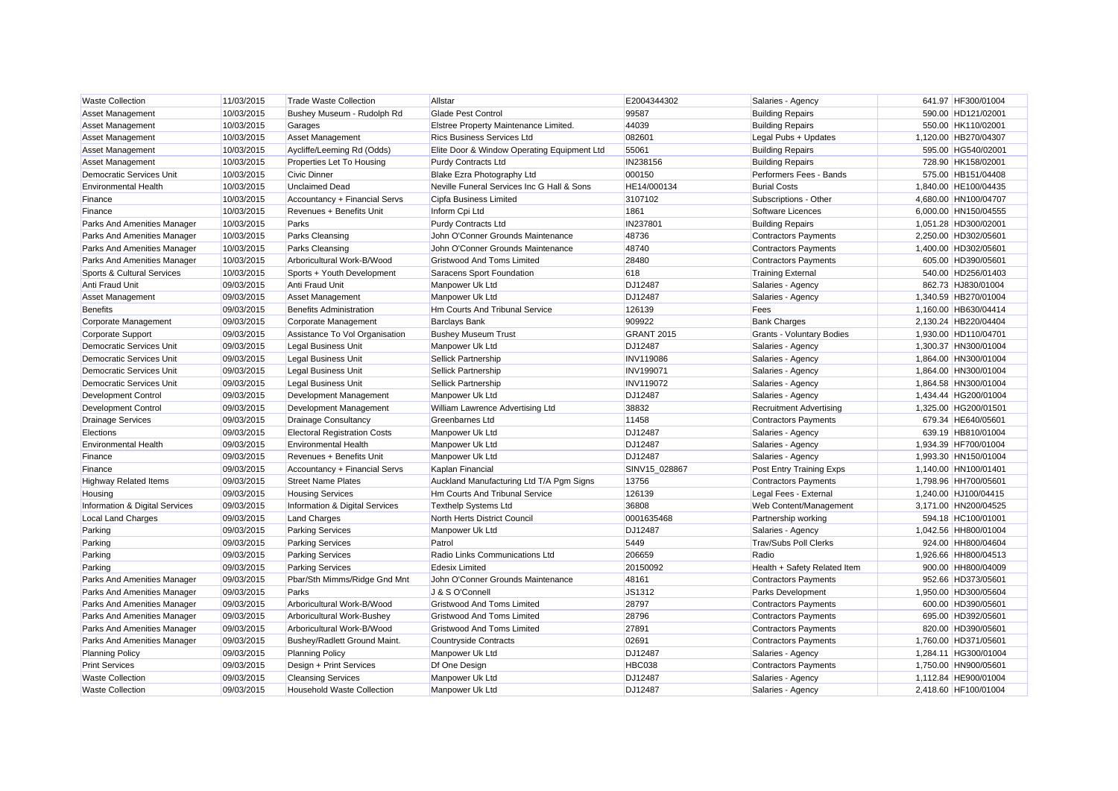| <b>Waste Collection</b>         | 11/03/2015 | <b>Trade Waste Collection</b>       | Allstar                                     | E2004344302       | Salaries - Agency              | 641.97 HF300/01004   |
|---------------------------------|------------|-------------------------------------|---------------------------------------------|-------------------|--------------------------------|----------------------|
| <b>Asset Management</b>         | 10/03/2015 | Bushey Museum - Rudolph Rd          | <b>Glade Pest Control</b>                   | 99587             | <b>Building Repairs</b>        | 590.00 HD121/02001   |
| <b>Asset Management</b>         | 10/03/2015 | Garages                             | Elstree Property Maintenance Limited.       | 44039             | <b>Building Repairs</b>        | 550.00 HK110/02001   |
| <b>Asset Management</b>         | 10/03/2015 | Asset Management                    | <b>Rics Business Services Ltd</b>           | 082601            | Legal Pubs + Updates           | 1,120.00 HB270/04307 |
| <b>Asset Management</b>         | 10/03/2015 | Aycliffe/Leeming Rd (Odds)          | Elite Door & Window Operating Equipment Ltd | 55061             | <b>Building Repairs</b>        | 595.00 HG540/02001   |
| <b>Asset Management</b>         | 10/03/2015 | Properties Let To Housing           | <b>Purdy Contracts Ltd</b>                  | IN238156          | <b>Building Repairs</b>        | 728.90 HK158/02001   |
| <b>Democratic Services Unit</b> | 10/03/2015 | <b>Civic Dinner</b>                 | Blake Ezra Photography Ltd                  | 000150            | Performers Fees - Bands        | 575.00 HB151/04408   |
| <b>Environmental Health</b>     | 10/03/2015 | <b>Unclaimed Dead</b>               | Neville Funeral Services Inc G Hall & Sons  | HE14/000134       | <b>Burial Costs</b>            | 1,840.00 HE100/04435 |
| Finance                         | 10/03/2015 | Accountancy + Financial Servs       | Cipfa Business Limited                      | 3107102           | Subscriptions - Other          | 4,680.00 HN100/04707 |
| Finance                         | 10/03/2015 | Revenues + Benefits Unit            | Inform Cpi Ltd                              | 1861              | Software Licences              | 6,000.00 HN150/04555 |
| Parks And Amenities Manager     | 10/03/2015 | Parks                               | <b>Purdy Contracts Ltd</b>                  | IN237801          | <b>Building Repairs</b>        | 1,051.28 HD300/02001 |
| Parks And Amenities Manager     | 10/03/2015 | <b>Parks Cleansing</b>              | John O'Conner Grounds Maintenance           | 48736             | <b>Contractors Payments</b>    | 2,250.00 HD302/05601 |
| Parks And Amenities Manager     | 10/03/2015 | <b>Parks Cleansing</b>              | John O'Conner Grounds Maintenance           | 48740             | <b>Contractors Payments</b>    | 1,400.00 HD302/05601 |
| Parks And Amenities Manager     | 10/03/2015 | Arboricultural Work-B/Wood          | <b>Gristwood And Toms Limited</b>           | 28480             | <b>Contractors Payments</b>    | 605.00 HD390/05601   |
| Sports & Cultural Services      | 10/03/2015 | Sports + Youth Development          | Saracens Sport Foundation                   | 618               | <b>Training External</b>       | 540.00 HD256/01403   |
| Anti Fraud Unit                 | 09/03/2015 | Anti Fraud Unit                     | Manpower Uk Ltd                             | DJ12487           | Salaries - Agency              | 862.73 HJ830/01004   |
| Asset Management                | 09/03/2015 | <b>Asset Management</b>             | Manpower Uk Ltd                             | DJ12487           | Salaries - Agency              | 1,340.59 HB270/01004 |
| <b>Benefits</b>                 | 09/03/2015 | <b>Benefits Administration</b>      | Hm Courts And Tribunal Service              | 126139            | Fees                           | 1.160.00 HB630/04414 |
| Corporate Management            | 09/03/2015 | Corporate Management                | <b>Barclays Bank</b>                        | 909922            | <b>Bank Charges</b>            | 2,130.24 HB220/04404 |
| <b>Corporate Support</b>        | 09/03/2015 | Assistance To Vol Organisation      | <b>Bushey Museum Trust</b>                  | <b>GRANT 2015</b> | Grants - Voluntary Bodies      | 1,930.00 HD110/04701 |
| Democratic Services Unit        | 09/03/2015 | <b>Legal Business Unit</b>          | Manpower Uk Ltd                             | DJ12487           | Salaries - Agency              | 1,300.37 HN300/01004 |
| <b>Democratic Services Unit</b> | 09/03/2015 | <b>Legal Business Unit</b>          | Sellick Partnership                         | <b>INV119086</b>  | Salaries - Agency              | 1.864.00 HN300/01004 |
| <b>Democratic Services Unit</b> | 09/03/2015 | <b>Legal Business Unit</b>          | Sellick Partnership                         | <b>INV199071</b>  | Salaries - Agency              | 1,864.00 HN300/01004 |
| Democratic Services Unit        | 09/03/2015 | <b>Legal Business Unit</b>          | Sellick Partnership                         | <b>INV119072</b>  | Salaries - Agency              | 1,864.58 HN300/01004 |
| <b>Development Control</b>      | 09/03/2015 | Development Management              | Manpower Uk Ltd                             | DJ12487           | Salaries - Agency              | 1,434.44 HG200/01004 |
| <b>Development Control</b>      | 09/03/2015 | Development Management              | William Lawrence Advertising Ltd            | 38832             | <b>Recruitment Advertising</b> | 1,325.00 HG200/01501 |
| <b>Drainage Services</b>        | 09/03/2015 | <b>Drainage Consultancy</b>         | Greenbarnes Ltd                             | 11458             | <b>Contractors Payments</b>    | 679.34 HE640/05601   |
| Elections                       | 09/03/2015 | <b>Electoral Registration Costs</b> | Manpower Uk Ltd                             | DJ12487           | Salaries - Agency              | 639.19 HB810/01004   |
| <b>Environmental Health</b>     | 09/03/2015 | <b>Environmental Health</b>         | Manpower Uk Ltd                             | DJ12487           | Salaries - Agency              | 1,934.39 HF700/01004 |
| Finance                         | 09/03/2015 | Revenues + Benefits Unit            | Manpower Uk Ltd                             | DJ12487           | Salaries - Agency              | 1,993.30 HN150/01004 |
| Finance                         | 09/03/2015 | Accountancy + Financial Servs       | Kaplan Financial                            | SINV15_028867     | Post Entry Training Exps       | 1,140.00 HN100/01401 |
| <b>Highway Related Items</b>    | 09/03/2015 | <b>Street Name Plates</b>           | Auckland Manufacturing Ltd T/A Pgm Signs    | 13756             | <b>Contractors Payments</b>    | 1,798.96 HH700/05601 |
| Housing                         | 09/03/2015 | <b>Housing Services</b>             | Hm Courts And Tribunal Service              | 126139            | Legal Fees - External          | 1,240.00 HJ100/04415 |
| Information & Digital Services  | 09/03/2015 | Information & Digital Services      | <b>Texthelp Systems Ltd</b>                 | 36808             | Web Content/Management         | 3,171.00 HN200/04525 |
| Local Land Charges              | 09/03/2015 | <b>Land Charges</b>                 | North Herts District Council                | 0001635468        | Partnership working            | 594.18 HC100/01001   |
| Parking                         | 09/03/2015 | <b>Parking Services</b>             | Manpower Uk Ltd                             | DJ12487           | Salaries - Agency              | 1,042.56 HH800/01004 |
| Parking                         | 09/03/2015 | <b>Parking Services</b>             | Patrol                                      | 5449              | <b>Trav/Subs Poll Clerks</b>   | 924.00 HH800/04604   |
| Parking                         | 09/03/2015 | <b>Parking Services</b>             | Radio Links Communications Ltd              | 206659            | Radio                          | 1,926.66 HH800/04513 |
| Parking                         | 09/03/2015 | <b>Parking Services</b>             | <b>Edesix Limited</b>                       | 20150092          | Health + Safety Related Item   | 900.00 HH800/04009   |
| Parks And Amenities Manager     | 09/03/2015 | Pbar/Sth Mimms/Ridge Gnd Mnt        | John O'Conner Grounds Maintenance           | 48161             | <b>Contractors Payments</b>    | 952.66 HD373/05601   |
| Parks And Amenities Manager     | 09/03/2015 | Parks                               | J & S O'Connell                             | JS1312            | Parks Development              | 1.950.00 HD300/05604 |
| Parks And Amenities Manager     | 09/03/2015 | Arboricultural Work-B/Wood          | <b>Gristwood And Toms Limited</b>           | 28797             | <b>Contractors Payments</b>    | 600.00 HD390/05601   |
| Parks And Amenities Manager     | 09/03/2015 | Arboricultural Work-Bushey          | <b>Gristwood And Toms Limited</b>           | 28796             | <b>Contractors Payments</b>    | 695.00 HD392/05601   |
| Parks And Amenities Manager     | 09/03/2015 | Arboricultural Work-B/Wood          | <b>Gristwood And Toms Limited</b>           | 27891             | <b>Contractors Payments</b>    | 820.00 HD390/05601   |
| Parks And Amenities Manager     | 09/03/2015 | Bushey/Radlett Ground Maint.        | Countryside Contracts                       | 02691             | <b>Contractors Payments</b>    | 1.760.00 HD371/05601 |
| <b>Planning Policy</b>          | 09/03/2015 | <b>Planning Policy</b>              | Manpower Uk Ltd                             | DJ12487           | Salaries - Agency              | 1,284.11 HG300/01004 |
| <b>Print Services</b>           | 09/03/2015 | Design + Print Services             | Df One Design                               | <b>HBC038</b>     | <b>Contractors Payments</b>    | 1,750.00 HN900/05601 |
| <b>Waste Collection</b>         | 09/03/2015 | <b>Cleansing Services</b>           | Manpower Uk Ltd                             | DJ12487           | Salaries - Agency              | 1.112.84 HE900/01004 |
| <b>Waste Collection</b>         | 09/03/2015 | <b>Household Waste Collection</b>   | Manpower Uk Ltd                             | DJ12487           | Salaries - Agency              | 2.418.60 HF100/01004 |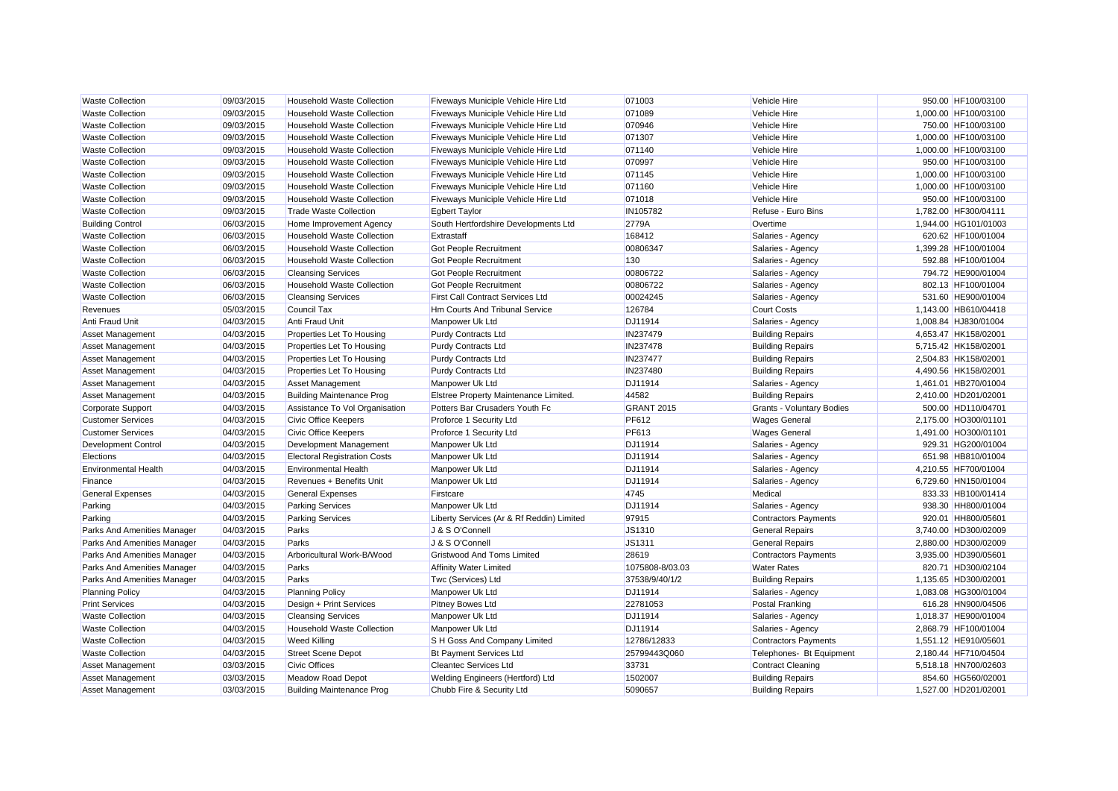| <b>Waste Collection</b>     | 09/03/2015 | <b>Household Waste Collection</b>   | Fiveways Municiple Vehicle Hire Ltd       | 071003            | Vehicle Hire                     | 950.00 HF100/03100   |
|-----------------------------|------------|-------------------------------------|-------------------------------------------|-------------------|----------------------------------|----------------------|
| <b>Waste Collection</b>     | 09/03/2015 | <b>Household Waste Collection</b>   | Fiveways Municiple Vehicle Hire Ltd       | 071089            | <b>Vehicle Hire</b>              | 1,000.00 HF100/03100 |
| <b>Waste Collection</b>     | 09/03/2015 | <b>Household Waste Collection</b>   | Fiveways Municiple Vehicle Hire Ltd       | 070946            | <b>Vehicle Hire</b>              | 750.00 HF100/03100   |
| <b>Waste Collection</b>     | 09/03/2015 | <b>Household Waste Collection</b>   | Fiveways Municiple Vehicle Hire Ltd       | 071307            | Vehicle Hire                     | 1,000.00 HF100/03100 |
| <b>Waste Collection</b>     | 09/03/2015 | <b>Household Waste Collection</b>   | Fiveways Municiple Vehicle Hire Ltd       | 071140            | Vehicle Hire                     | 1,000.00 HF100/03100 |
| <b>Waste Collection</b>     | 09/03/2015 | <b>Household Waste Collection</b>   | Fiveways Municiple Vehicle Hire Ltd       | 070997            | Vehicle Hire                     | 950.00 HF100/03100   |
| <b>Waste Collection</b>     | 09/03/2015 | <b>Household Waste Collection</b>   | Fiveways Municiple Vehicle Hire Ltd       | 071145            | <b>Vehicle Hire</b>              | 1,000.00 HF100/03100 |
| <b>Waste Collection</b>     | 09/03/2015 | <b>Household Waste Collection</b>   | Fiveways Municiple Vehicle Hire Ltd       | 071160            | Vehicle Hire                     | 1,000.00 HF100/03100 |
| <b>Waste Collection</b>     | 09/03/2015 | <b>Household Waste Collection</b>   | Fiveways Municiple Vehicle Hire Ltd       | 071018            | <b>Vehicle Hire</b>              | 950.00 HF100/03100   |
| <b>Waste Collection</b>     | 09/03/2015 | <b>Trade Waste Collection</b>       | <b>Egbert Taylor</b>                      | IN105782          | Refuse - Euro Bins               | 1,782.00 HF300/04111 |
| <b>Building Control</b>     | 06/03/2015 | Home Improvement Agency             | South Hertfordshire Developments Ltd      | 2779A             | Overtime                         | 1,944.00 HG101/01003 |
| <b>Waste Collection</b>     | 06/03/2015 | Household Waste Collection          | Extrastaff                                | 168412            | Salaries - Agency                | 620.62 HF100/01004   |
| <b>Waste Collection</b>     | 06/03/2015 | <b>Household Waste Collection</b>   | <b>Got People Recruitment</b>             | 00806347          | Salaries - Agency                | 1,399.28 HF100/01004 |
| <b>Waste Collection</b>     | 06/03/2015 | <b>Household Waste Collection</b>   | Got People Recruitment                    | 130               | Salaries - Agency                | 592.88 HF100/01004   |
| <b>Waste Collection</b>     | 06/03/2015 | <b>Cleansing Services</b>           | <b>Got People Recruitment</b>             | 00806722          | Salaries - Agency                | 794.72 HE900/01004   |
| <b>Waste Collection</b>     | 06/03/2015 | <b>Household Waste Collection</b>   | Got People Recruitment                    | 00806722          | Salaries - Agency                | 802.13 HF100/01004   |
| <b>Waste Collection</b>     | 06/03/2015 | <b>Cleansing Services</b>           | <b>First Call Contract Services Ltd</b>   | 00024245          | Salaries - Agency                | 531.60 HE900/01004   |
| Revenues                    | 05/03/2015 | Council Tax                         | Hm Courts And Tribunal Service            | 126784            | <b>Court Costs</b>               | 1.143.00 HB610/04418 |
| Anti Fraud Unit             | 04/03/2015 | Anti Fraud Unit                     | Manpower Uk Ltd                           | DJ11914           | Salaries - Agency                | 1,008.84 HJ830/01004 |
| Asset Management            | 04/03/2015 | Properties Let To Housing           | <b>Purdy Contracts Ltd</b>                | IN237479          | <b>Building Repairs</b>          | 4,653.47 HK158/02001 |
| <b>Asset Management</b>     | 04/03/2015 | Properties Let To Housing           | <b>Purdy Contracts Ltd</b>                | IN237478          | <b>Building Repairs</b>          | 5,715.42 HK158/02001 |
| <b>Asset Management</b>     | 04/03/2015 | Properties Let To Housing           | <b>Purdy Contracts Ltd</b>                | <b>IN237477</b>   | <b>Building Repairs</b>          | 2.504.83 HK158/02001 |
| Asset Management            | 04/03/2015 | Properties Let To Housing           | <b>Purdy Contracts Ltd</b>                | IN237480          | <b>Building Repairs</b>          | 4,490.56 HK158/02001 |
| Asset Management            | 04/03/2015 | Asset Management                    | Manpower Uk Ltd                           | DJ11914           | Salaries - Agency                | 1,461.01 HB270/01004 |
| <b>Asset Management</b>     | 04/03/2015 | <b>Building Maintenance Prog</b>    | Elstree Property Maintenance Limited.     | 44582             | <b>Building Repairs</b>          | 2,410.00 HD201/02001 |
| <b>Corporate Support</b>    | 04/03/2015 | Assistance To Vol Organisation      | Potters Bar Crusaders Youth Fc            | <b>GRANT 2015</b> | <b>Grants - Voluntary Bodies</b> | 500.00 HD110/04701   |
| <b>Customer Services</b>    | 04/03/2015 | Civic Office Keepers                | Proforce 1 Security Ltd                   | PF612             | <b>Wages General</b>             | 2,175.00 HO300/01101 |
| <b>Customer Services</b>    | 04/03/2015 | <b>Civic Office Keepers</b>         | Proforce 1 Security Ltd                   | <b>PF613</b>      | <b>Wages General</b>             | 1,491.00 HO300/01101 |
| <b>Development Control</b>  | 04/03/2015 | Development Management              | Manpower Uk Ltd                           | DJ11914           | Salaries - Agency                | 929.31 HG200/01004   |
| Elections                   | 04/03/2015 | <b>Electoral Registration Costs</b> | Manpower Uk Ltd                           | DJ11914           | Salaries - Agency                | 651.98 HB810/01004   |
| <b>Environmental Health</b> | 04/03/2015 | <b>Environmental Health</b>         | Manpower Uk Ltd                           | DJ11914           | Salaries - Agency                | 4,210.55 HF700/01004 |
| Finance                     | 04/03/2015 | Revenues + Benefits Unit            | Manpower Uk Ltd                           | DJ11914           | Salaries - Agency                | 6,729.60 HN150/01004 |
| <b>General Expenses</b>     | 04/03/2015 | <b>General Expenses</b>             | Firstcare                                 | 4745              | Medical                          | 833.33 HB100/01414   |
| Parking                     | 04/03/2015 | <b>Parking Services</b>             | Manpower Uk Ltd                           | DJ11914           | Salaries - Agency                | 938.30 HH800/01004   |
| Parking                     | 04/03/2015 | <b>Parking Services</b>             | Liberty Services (Ar & Rf Reddin) Limited | 97915             | <b>Contractors Payments</b>      | 920.01 HH800/05601   |
| Parks And Amenities Manager | 04/03/2015 | Parks                               | J & S O'Connell                           | JS1310            | <b>General Repairs</b>           | 3,740.00 HD300/02009 |
| Parks And Amenities Manager | 04/03/2015 | Parks                               | J & S O'Connell                           | JS1311            | <b>General Repairs</b>           | 2,880.00 HD300/02009 |
| Parks And Amenities Manager | 04/03/2015 | Arboricultural Work-B/Wood          | <b>Gristwood And Toms Limited</b>         | 28619             | <b>Contractors Payments</b>      | 3,935.00 HD390/05601 |
| Parks And Amenities Manager | 04/03/2015 | Parks                               | <b>Affinity Water Limited</b>             | 1075808-8/03.03   | <b>Water Rates</b>               | 820.71 HD300/02104   |
| Parks And Amenities Manager | 04/03/2015 | Parks                               | Twc (Services) Ltd                        | 37538/9/40/1/2    | <b>Building Repairs</b>          | 1,135.65 HD300/02001 |
| <b>Planning Policy</b>      | 04/03/2015 | <b>Planning Policy</b>              | Manpower Uk Ltd                           | DJ11914           | Salaries - Agency                | 1.083.08 HG300/01004 |
| <b>Print Services</b>       | 04/03/2015 | Design + Print Services             | Pitney Bowes Ltd                          | 22781053          | <b>Postal Franking</b>           | 616.28 HN900/04506   |
| <b>Waste Collection</b>     | 04/03/2015 | <b>Cleansing Services</b>           | Manpower Uk Ltd                           | DJ11914           | Salaries - Agency                | 1,018.37 HE900/01004 |
| <b>Waste Collection</b>     | 04/03/2015 | <b>Household Waste Collection</b>   | Manpower Uk Ltd                           | DJ11914           | Salaries - Agency                | 2,868.79 HF100/01004 |
| <b>Waste Collection</b>     | 04/03/2015 | Weed Killing                        | S H Goss And Company Limited              | 12786/12833       | <b>Contractors Payments</b>      | 1.551.12 HE910/05601 |
| <b>Waste Collection</b>     | 04/03/2015 | <b>Street Scene Depot</b>           | <b>Bt Payment Services Ltd</b>            | 25799443Q060      | Telephones- Bt Equipment         | 2,180.44 HF710/04504 |
| Asset Management            | 03/03/2015 | Civic Offices                       | <b>Cleantec Services Ltd</b>              | 33731             | <b>Contract Cleaning</b>         | 5,518.18 HN700/02603 |
| Asset Management            | 03/03/2015 | Meadow Road Depot                   | Welding Engineers (Hertford) Ltd          | 1502007           | <b>Building Repairs</b>          | 854.60 HG560/02001   |
| <b>Asset Management</b>     | 03/03/2015 | <b>Building Maintenance Prog</b>    | Chubb Fire & Security Ltd                 | 5090657           | <b>Building Repairs</b>          | 1.527.00 HD201/02001 |